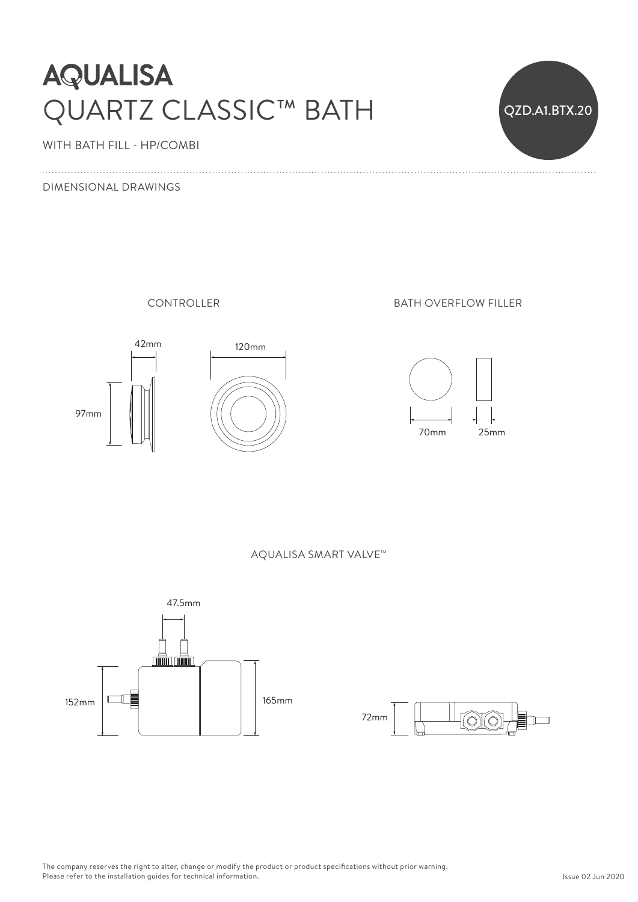# **AQUALISA** QUARTZ CLASSIC™ BATH



WITH BATH FILL - HP/COMBI

#### DIMENSIONAL DRAWINGS

CONTROLLER





BATH OVERFLOW FILLER



AQUALISA SMART VALVE™